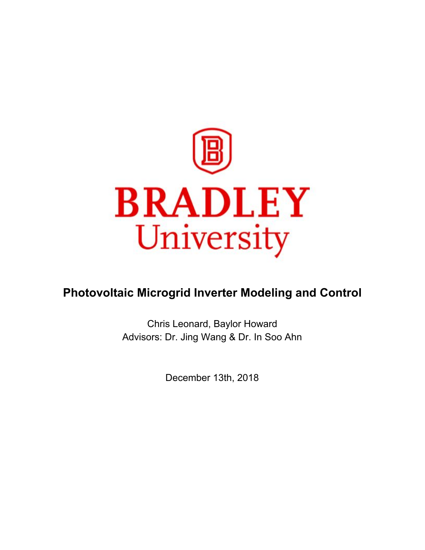

# **Photovoltaic Microgrid Inverter Modeling and Control**

Chris Leonard, Baylor Howard Advisors: Dr. Jing Wang & Dr. In Soo Ahn

December 13th, 2018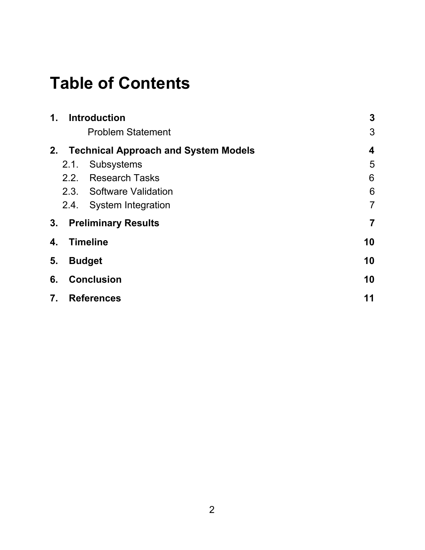# **Table of Contents**

| $\mathbf{1}$ . | <b>Introduction</b>                         |                          | 3                       |
|----------------|---------------------------------------------|--------------------------|-------------------------|
|                |                                             | <b>Problem Statement</b> | 3                       |
| 2.             | <b>Technical Approach and System Models</b> |                          | $\overline{\mathbf{4}}$ |
|                | 2.1.                                        | Subsystems               | 5                       |
|                | 2.2.                                        | <b>Research Tasks</b>    | 6                       |
|                |                                             | 2.3. Software Validation | 6                       |
|                | 2.4.                                        | System Integration       | $\overline{7}$          |
| 3.             | <b>Preliminary Results</b>                  |                          | $\overline{7}$          |
| 4.             | <b>Timeline</b>                             |                          | 10                      |
| 5.             | <b>Budget</b>                               |                          | 10                      |
| 6.             | <b>Conclusion</b>                           |                          | 10                      |
| 7.             | <b>References</b>                           |                          | 11                      |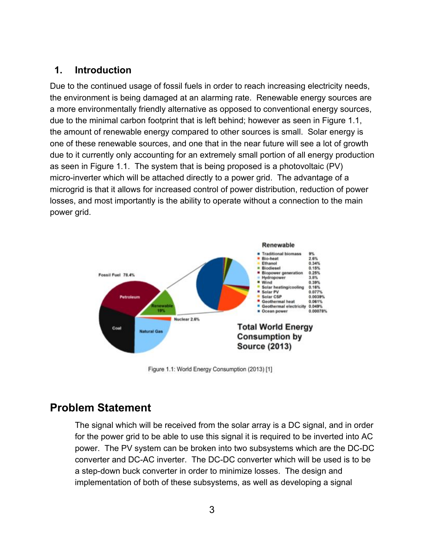#### <span id="page-2-0"></span>**1. Introduction**

Due to the continued usage of fossil fuels in order to reach increasing electricity needs, the environment is being damaged at an alarming rate. Renewable energy sources are a more environmentally friendly alternative as opposed to conventional energy sources, due to the minimal carbon footprint that is left behind; however as seen in Figure 1.1, the amount of renewable energy compared to other sources is small. Solar energy is one of these renewable sources, and one that in the near future will see a lot of growth due to it currently only accounting for an extremely small portion of all energy production as seen in Figure 1.1. The system that is being proposed is a photovoltaic (PV) micro-inverter which will be attached directly to a power grid. The advantage of a microgrid is that it allows for increased control of power distribution, reduction of power losses, and most importantly is the ability to operate without a connection to the main power grid.



Figure 1.1: World Energy Consumption (2013) [1]

# <span id="page-2-1"></span>**Problem Statement**

The signal which will be received from the solar array is a DC signal, and in order for the power grid to be able to use this signal it is required to be inverted into AC power. The PV system can be broken into two subsystems which are the DC-DC converter and DC-AC inverter. The DC-DC converter which will be used is to be a step-down buck converter in order to minimize losses. The design and implementation of both of these subsystems, as well as developing a signal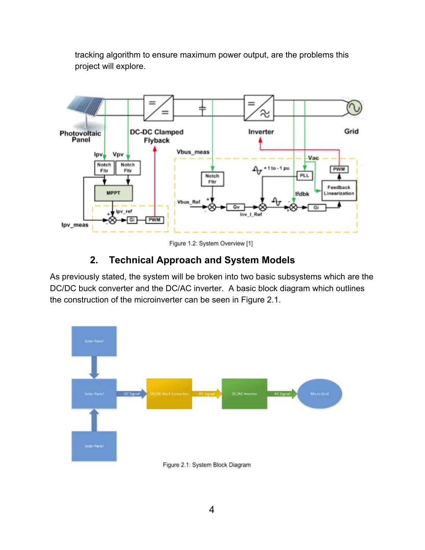tracking algorithm to ensure maximum power output, are the problems this project will explore.

<span id="page-3-0"></span>

Figure 1.2: System Overview [1]

### **2. Technical Approach and System Models**

As previously stated, the system will be broken into two basic subsystems which are the DC/DC buck converter and the DC/AC inverter. A basic block diagram which outlines the construction of the microinverter can be seen in Figure 2.1.

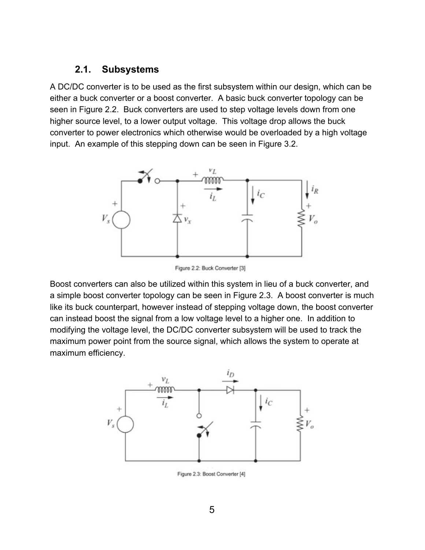#### <span id="page-4-0"></span>**2.1. Subsystems**

A DC/DC converter is to be used as the first subsystem within our design, which can be either a buck converter or a boost converter. A basic buck converter topology can be seen in Figure 2.2. Buck converters are used to step voltage levels down from one higher source level, to a lower output voltage. This voltage drop allows the buck converter to power electronics which otherwise would be overloaded by a high voltage input. An example of this stepping down can be seen in Figure 3.2.



Figure 2.2: Buck Converter [3]

Boost converters can also be utilized within this system in lieu of a buck converter, and a simple boost converter topology can be seen in Figure 2.3. A boost converter is much like its buck counterpart, however instead of stepping voltage down, the boost converter can instead boost the signal from a low voltage level to a higher one. In addition to modifying the voltage level, the DC/DC converter subsystem will be used to track the maximum power point from the source signal, which allows the system to operate at maximum efficiency.



Figure 2.3: Boost Converter [4]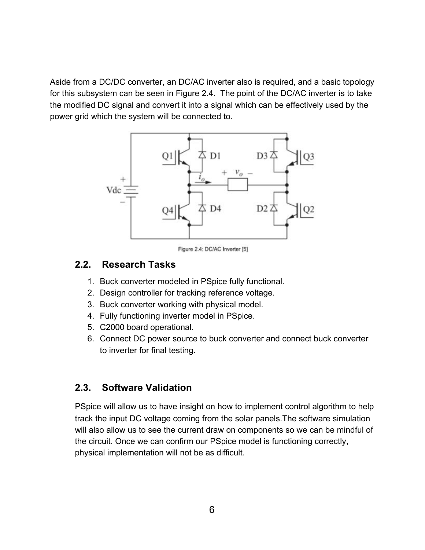<span id="page-5-0"></span>Aside from a DC/DC converter, an DC/AC inverter also is required, and a basic topology for this subsystem can be seen in Figure 2.4. The point of the DC/AC inverter is to take the modified DC signal and convert it into a signal which can be effectively used by the power grid which the system will be connected to.



Figure 2.4: DC/AC Inverter [5]

#### **2.2. Research Tasks**

- 1. Buck converter modeled in PSpice fully functional.
- 2. Design controller for tracking reference voltage.
- 3. Buck converter working with physical model.
- 4. Fully functioning inverter model in PSpice.
- 5. C2000 board operational.
- 6. Connect DC power source to buck converter and connect buck converter to inverter for final testing.

#### <span id="page-5-1"></span>**2.3. Software Validation**

PSpice will allow us to have insight on how to implement control algorithm to help track the input DC voltage coming from the solar panels.The software simulation will also allow us to see the current draw on components so we can be mindful of the circuit. Once we can confirm our PSpice model is functioning correctly, physical implementation will not be as difficult.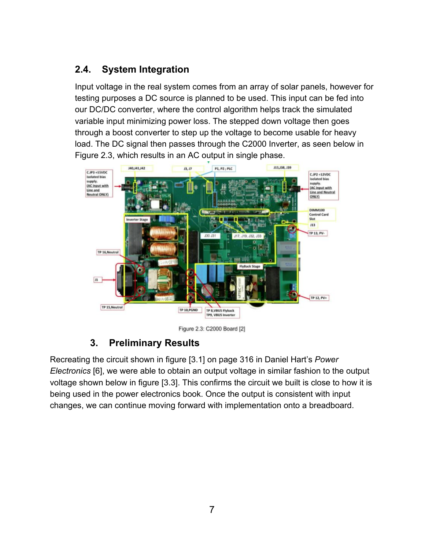# <span id="page-6-0"></span>**2.4. System Integration**

Input voltage in the real system comes from an array of solar panels, however for testing purposes a DC source is planned to be used. This input can be fed into our DC/DC converter, where the control algorithm helps track the simulated variable input minimizing power loss. The stepped down voltage then goes through a boost converter to step up the voltage to become usable for heavy load. The DC signal then passes through the C2000 Inverter, as seen below in Figure 2.3, which results in an AC output in single phase.

<span id="page-6-1"></span>

Figure 2.3: C2000 Board [2]

## **3. Preliminary Results**

Recreating the circuit shown in figure [3.1] on page 316 in Daniel Hart's *Power Electronics* [6], we were able to obtain an output voltage in similar fashion to the output voltage shown below in figure [3.3]. This confirms the circuit we built is close to how it is being used in the power electronics book. Once the output is consistent with input changes, we can continue moving forward with implementation onto a breadboard.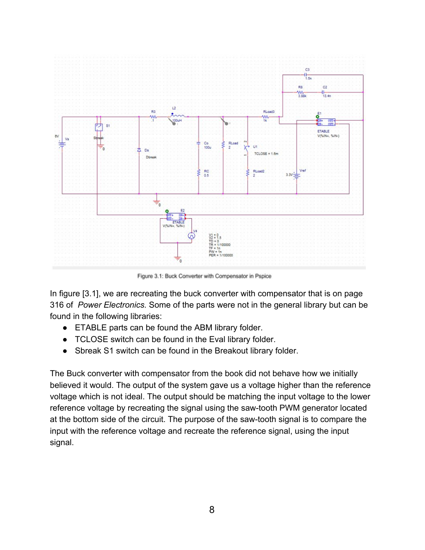

Figure 3.1: Buck Converter with Compensator in Pspice

In figure [3.1], we are recreating the buck converter with compensator that is on page 316 of *Power Electronics.* Some of the parts were not in the general library but can be found in the following libraries:

- ETABLE parts can be found the ABM library folder.
- TCLOSE switch can be found in the Eval library folder.
- Sbreak S1 switch can be found in the Breakout library folder.

The Buck converter with compensator from the book did not behave how we initially believed it would. The output of the system gave us a voltage higher than the reference voltage which is not ideal. The output should be matching the input voltage to the lower reference voltage by recreating the signal using the saw-tooth PWM generator located at the bottom side of the circuit. The purpose of the saw-tooth signal is to compare the input with the reference voltage and recreate the reference signal, using the input signal.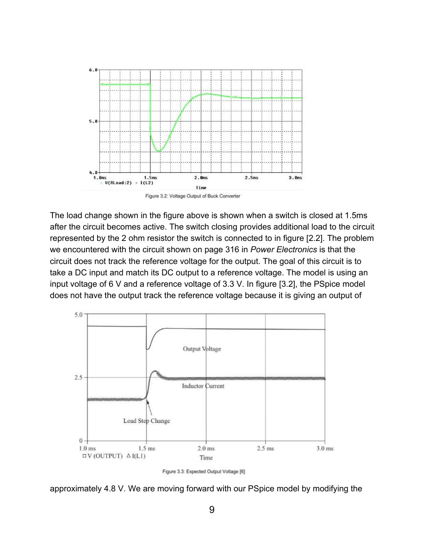



The load change shown in the figure above is shown when a switch is closed at 1.5ms after the circuit becomes active. The switch closing provides additional load to the circuit represented by the 2 ohm resistor the switch is connected to in figure [2.2]. The problem we encountered with the circuit shown on page 316 in *Power Electronics* is that the circuit does not track the reference voltage for the output. The goal of this circuit is to take a DC input and match its DC output to a reference voltage. The model is using an input voltage of 6 V and a reference voltage of 3.3 V. In figure [3.2], the PSpice model does not have the output track the reference voltage because it is giving an output of



Figure 3.3: Expected Output Voltage [6]

approximately 4.8 V. We are moving forward with our PSpice model by modifying the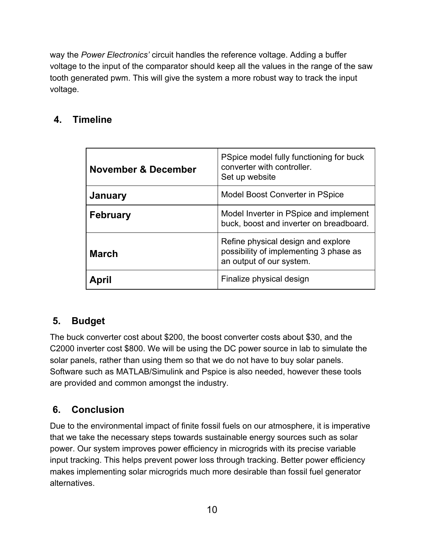way the *Power Electronics'* circuit handles the reference voltage. Adding a buffer voltage to the input of the comparator should keep all the values in the range of the saw tooth generated pwm. This will give the system a more robust way to track the input voltage.

## <span id="page-9-0"></span>**4. Timeline**

| November & December | PSpice model fully functioning for buck<br>converter with controller.<br>Set up website                  |  |
|---------------------|----------------------------------------------------------------------------------------------------------|--|
| January             | Model Boost Converter in PSpice                                                                          |  |
| <b>February</b>     | Model Inverter in PSpice and implement<br>buck, boost and inverter on breadboard.                        |  |
| <b>March</b>        | Refine physical design and explore<br>possibility of implementing 3 phase as<br>an output of our system. |  |
|                     | Finalize physical design                                                                                 |  |

# <span id="page-9-1"></span>**5. Budget**

The buck converter cost about \$200, the boost converter costs about \$30, and the C2000 inverter cost \$800. We will be using the DC power source in lab to simulate the solar panels, rather than using them so that we do not have to buy solar panels. Software such as MATLAB/Simulink and Pspice is also needed, however these tools are provided and common amongst the industry.

## <span id="page-9-2"></span>**6. Conclusion**

Due to the environmental impact of finite fossil fuels on our atmosphere, it is imperative that we take the necessary steps towards sustainable energy sources such as solar power. Our system improves power efficiency in microgrids with its precise variable input tracking. This helps prevent power loss through tracking. Better power efficiency makes implementing solar microgrids much more desirable than fossil fuel generator alternatives.